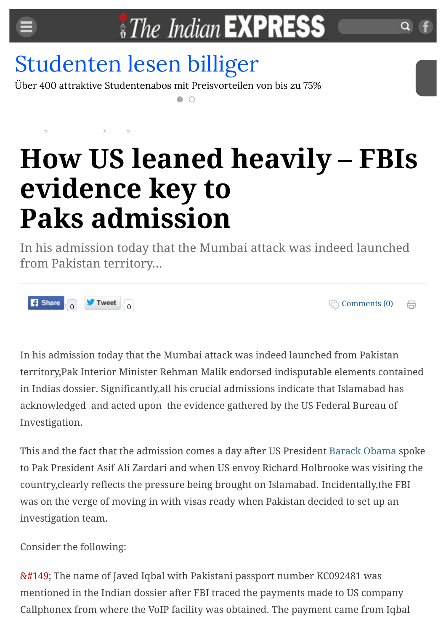

## [Studenten lesen billiger](http://www.googleadservices.com/pagead/aclk?sa=L&ai=CVsTp8tDEVaf6AtSlbPGeu9gDptumnAi2m_2kX5feor3AARABIIKd1gxglfKsgrQHoAHxsYf_A8gBAakCzKWMTopVsj7gAgCoAwHIA5sEqgTkAU_QtigzRV7eGeTWAIKg9qjujs2_NnUzPKn9yGgLIttfKy4JiTkVbJidh4IEVh7__jeEzudcNmKIjtaUPKNANtLIfrYJZEA4IgxE0Ty_CfNcYySEZwr5hzg9th9WB5GRTL2fsSL3xXR0CSSeZlYSqIY1dGG8mrID8yLZ-EiKNJQ5vfv5jWo5UoHA8PoQDvxDft-GIq8IfuVcA82KNmzmejq9u4Cr4vvRFKm2zhDyidiHTHMALZ9axBnLe2mdpcIxBTC5IibVEu-v4puDSW2Mmue1CFoYOvNPGBb1SiXXNqYc-qaz7eAEAYgGAYAH9814qAemvhvYBwE&num=1&cid=5GjBVH4s7Mo3aZ4CJu6L_gb6&sig=AOD64_0Z56sDBuYBaaKHhARMLtSyUvC7hw&client=ca-pub-9517772455344405&adurl=http://www.studenten-presse.com)

Über 400 attraktive Studentenabos mit Preisvorteilen von bis zu 75%

## **How US leaned heavily – FBIs evidence key to Paks admission**

In his admission today that the Mumbai attack was indeed launched from Pakistan territory...



[Comments \(0\)](http://indianexpress.com/article/news-archive/web/how-us-leaned-heavily-fbis-evidence-key-to-paks-admission/#comments) 咼

In his admission today that the Mumbai attack was indeed launched from Pakistan territory,Pak Interior Minister Rehman Malik endorsed indisputable elements contained in Indias dossier. Significantly,all his crucial admissions indicate that Islamabad has acknowledged and acted upon the evidence gathered by the US Federal Bureau of Investigation.

This and the fact that the admission comes a day after US President [Barack Obama](http://indianexpress.com/tag/barack-obama/) spoke to Pak President Asif Ali Zardari and when US envoy Richard Holbrooke was visiting the country,clearly reflects the pressure being brought on Islamabad. Incidentally,the FBI was on the verge of moving in with visas ready when Pakistan decided to set up an investigation team.

Consider the following:

• The name of Javed Iqbal with Pakistani passport number KC092481 was mentioned in the Indian dossier after FBI traced the payments made to US company Callphonex from where the VoIP facility was obtained. The payment came from Iqbal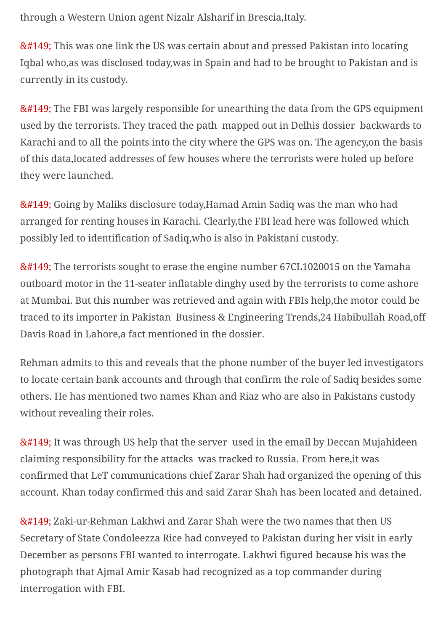through a Western Union agent Nizalr Alsharif in Brescia,Italy.

• This was one link the US was certain about and pressed Pakistan into locating Iqbal who,as was disclosed today,was in Spain and had to be brought to Pakistan and is currently in its custody.

• The FBI was largely responsible for unearthing the data from the GPS equipment used by the terrorists. They traced the path mapped out in Delhis dossier backwards to Karachi and to all the points into the city where the GPS was on. The agency,on the basis of this data,located addresses of few houses where the terrorists were holed up before they were launched.

• Going by Maliks disclosure today,Hamad Amin Sadiq was the man who had arranged for renting houses in Karachi. Clearly,the FBI lead here was followed which possibly led to identification of Sadiq,who is also in Pakistani custody.

• The terrorists sought to erase the engine number 67CL1020015 on the Yamaha outboard motor in the 11-seater inflatable dinghy used by the terrorists to come ashore at Mumbai. But this number was retrieved and again with FBIs help,the motor could be traced to its importer in Pakistan Business & Engineering Trends,24 Habibullah Road,off Davis Road in Lahore,a fact mentioned in the dossier.

Rehman admits to this and reveals that the phone number of the buyer led investigators to locate certain bank accounts and through that confirm the role of Sadiq besides some others. He has mentioned two names Khan and Riaz who are also in Pakistans custody without revealing their roles.

• It was through US help that the server used in the email by Deccan Mujahideen claiming responsibility for the attacks was tracked to Russia. From here,it was confirmed that LeT communications chief Zarar Shah had organized the opening of this account. Khan today confirmed this and said Zarar Shah has been located and detained.

• Zaki-ur-Rehman Lakhwi and Zarar Shah were the two names that then US Secretary of State Condoleezza Rice had conveyed to Pakistan during her visit in early December as persons FBI wanted to interrogate. Lakhwi figured because his was the photograph that Ajmal Amir Kasab had recognized as a top commander during interrogation with FBI.